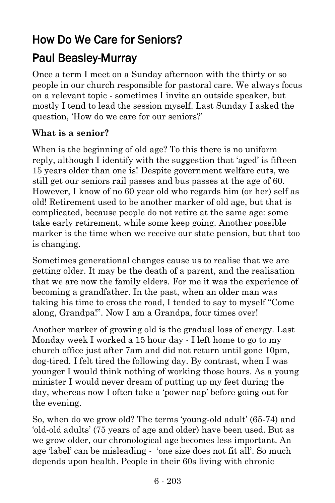# How Do We Care for Seniors?

## Paul Beasley-Murray

Once a term I meet on a Sunday afternoon with the thirty or so people in our church responsible for pastoral care. We always focus on a relevant topic - sometimes I invite an outside speaker, but mostly I tend to lead the session myself. Last Sunday I asked the question, 'How do we care for our seniors?'

#### **What is a senior?**

When is the beginning of old age? To this there is no uniform reply, although I identify with the suggestion that 'aged' is fifteen 15 years older than one is! Despite government welfare cuts, we still get our seniors rail passes and bus passes at the age of 60. However, I know of no 60 year old who regards him (or her) self as old! Retirement used to be another marker of old age, but that is complicated, because people do not retire at the same age: some take early retirement, while some keep going. Another possible marker is the time when we receive our state pension, but that too is changing.

Sometimes generational changes cause us to realise that we are getting older. It may be the death of a parent, and the realisation that we are now the family elders. For me it was the experience of becoming a grandfather. In the past, when an older man was taking his time to cross the road, I tended to say to myself "Come along, Grandpa!". Now I am a Grandpa, four times over!

Another marker of growing old is the gradual loss of energy. Last Monday week I worked a 15 hour day - I left home to go to my church office just after 7am and did not return until gone 10pm, dog-tired. I felt tired the following day. By contrast, when I was younger I would think nothing of working those hours. As a young minister I would never dream of putting up my feet during the day, whereas now I often take a 'power nap' before going out for the evening.

So, when do we grow old? The terms 'young-old adult' (65-74) and 'old-old adults' (75 years of age and older) have been used. But as we grow older, our chronological age becomes less important. An age 'label' can be misleading - 'one size does not fit all'. So much depends upon health. People in their 60s living with chronic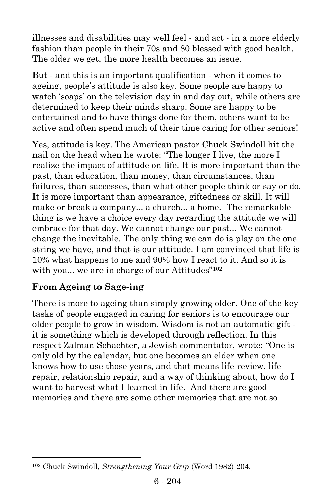illnesses and disabilities may well feel - and act - in a more elderly fashion than people in their 70s and 80 blessed with good health. The older we get, the more health becomes an issue.

But - and this is an important qualification - when it comes to ageing, people's attitude is also key. Some people are happy to watch 'soaps' on the television day in and day out, while others are determined to keep their minds sharp. Some are happy to be entertained and to have things done for them, others want to be active and often spend much of their time caring for other seniors!

Yes, attitude is key. The American pastor Chuck Swindoll hit the nail on the head when he wrote: "The longer I live, the more I realize the impact of attitude on life. It is more important than the past, than education, than money, than circumstances, than failures, than successes, than what other people think or say or do. It is more important than appearance, giftedness or skill. It will make or break a company... a church... a home. The remarkable thing is we have a choice every day regarding the attitude we will embrace for that day. We cannot change our past... We cannot change the inevitable. The only thing we can do is play on the one string we have, and that is our attitude. I am convinced that life is 10% what happens to me and 90% how I react to it. And so it is with you... we are in charge of our Attitudes"<sup>102</sup>

### **From Ageing to Sage-ing**

l

There is more to ageing than simply growing older. One of the key tasks of people engaged in caring for seniors is to encourage our older people to grow in wisdom. Wisdom is not an automatic gift it is something which is developed through reflection. In this respect Zalman Schachter, a Jewish commentator, wrote: "One is only old by the calendar, but one becomes an elder when one knows how to use those years, and that means life review, life repair, relationship repair, and a way of thinking about, how do I want to harvest what I learned in life. And there are good memories and there are some other memories that are not so

<sup>102</sup> Chuck Swindoll, *Strengthening Your Grip* (Word 1982) 204.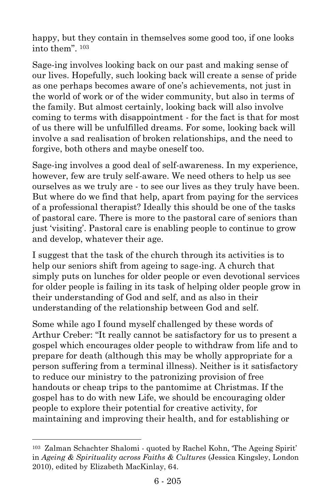happy, but they contain in themselves some good too, if one looks into them". 103

Sage-ing involves looking back on our past and making sense of our lives. Hopefully, such looking back will create a sense of pride as one perhaps becomes aware of one's achievements, not just in the world of work or of the wider community, but also in terms of the family. But almost certainly, looking back will also involve coming to terms with disappointment - for the fact is that for most of us there will be unfulfilled dreams. For some, looking back will involve a sad realisation of broken relationships, and the need to forgive, both others and maybe oneself too.

Sage-ing involves a good deal of self-awareness. In my experience, however, few are truly self-aware. We need others to help us see ourselves as we truly are - to see our lives as they truly have been. But where do we find that help, apart from paying for the services of a professional therapist? Ideally this should be one of the tasks of pastoral care. There is more to the pastoral care of seniors than just 'visiting'. Pastoral care is enabling people to continue to grow and develop, whatever their age.

I suggest that the task of the church through its activities is to help our seniors shift from ageing to sage-ing. A church that simply puts on lunches for older people or even devotional services for older people is failing in its task of helping older people grow in their understanding of God and self, and as also in their understanding of the relationship between God and self.

Some while ago I found myself challenged by these words of Arthur Creber: "It really cannot be satisfactory for us to present a gospel which encourages older people to withdraw from life and to prepare for death (although this may be wholly appropriate for a person suffering from a terminal illness). Neither is it satisfactory to reduce our ministry to the patronizing provision of free handouts or cheap trips to the pantomime at Christmas. If the gospel has to do with new Life, we should be encouraging older people to explore their potential for creative activity, for maintaining and improving their health, and for establishing or

l

<sup>103</sup> Zalman Schachter Shalomi - quoted by Rachel Kohn, 'The Ageing Spirit' in *Ageing & Spirituality across Faiths & Cultures* (Jessica Kingsley, London 2010), edited by Elizabeth MacKinlay, 64.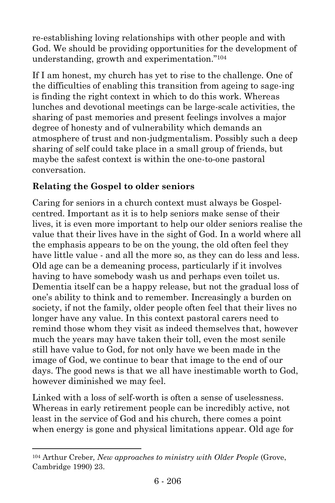re-establishing loving relationships with other people and with God. We should be providing opportunities for the development of understanding, growth and experimentation."<sup>104</sup>

If I am honest, my church has yet to rise to the challenge. One of the difficulties of enabling this transition from ageing to sage-ing is finding the right context in which to do this work. Whereas lunches and devotional meetings can be large-scale activities, the sharing of past memories and present feelings involves a major degree of honesty and of vulnerability which demands an atmosphere of trust and non-judgmentalism. Possibly such a deep sharing of self could take place in a small group of friends, but maybe the safest context is within the one-to-one pastoral conversation.

### **Relating the Gospel to older seniors**

Caring for seniors in a church context must always be Gospelcentred. Important as it is to help seniors make sense of their lives, it is even more important to help our older seniors realise the value that their lives have in the sight of God. In a world where all the emphasis appears to be on the young, the old often feel they have little value - and all the more so, as they can do less and less. Old age can be a demeaning process, particularly if it involves having to have somebody wash us and perhaps even toilet us. Dementia itself can be a happy release, but not the gradual loss of one's ability to think and to remember. Increasingly a burden on society, if not the family, older people often feel that their lives no longer have any value. In this context pastoral carers need to remind those whom they visit as indeed themselves that, however much the years may have taken their toll, even the most senile still have value to God, for not only have we been made in the image of God, we continue to bear that image to the end of our days. The good news is that we all have inestimable worth to God, however diminished we may feel.

Linked with a loss of self-worth is often a sense of uselessness. Whereas in early retirement people can be incredibly active, not least in the service of God and his church, there comes a point when energy is gone and physical limitations appear. Old age for

l

<sup>104</sup> Arthur Creber*, New approaches to ministry with Older People* (Grove, Cambridge 1990) 23.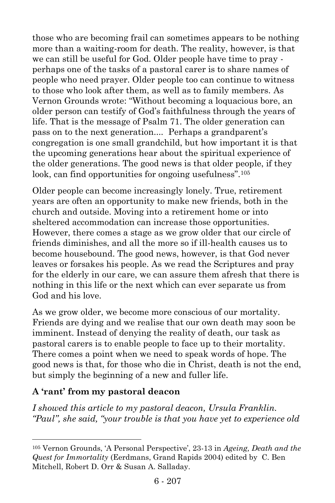those who are becoming frail can sometimes appears to be nothing more than a waiting-room for death. The reality, however, is that we can still be useful for God. Older people have time to pray perhaps one of the tasks of a pastoral carer is to share names of people who need prayer. Older people too can continue to witness to those who look after them, as well as to family members. As Vernon Grounds wrote: "Without becoming a loquacious bore, an older person can testify of God's faithfulness through the years of life. That is the message of Psalm 71. The older generation can pass on to the next generation.... Perhaps a grandparent's congregation is one small grandchild, but how important it is that the upcoming generations hear about the spiritual experience of the older generations. The good news is that older people, if they look, can find opportunities for ongoing usefulness".<sup>105</sup>

Older people can become increasingly lonely. True, retirement years are often an opportunity to make new friends, both in the church and outside. Moving into a retirement home or into sheltered accommodation can increase those opportunities. However, there comes a stage as we grow older that our circle of friends diminishes, and all the more so if ill-health causes us to become housebound. The good news, however, is that God never leaves or forsakes his people. As we read the Scriptures and pray for the elderly in our care, we can assure them afresh that there is nothing in this life or the next which can ever separate us from God and his love.

As we grow older, we become more conscious of our mortality. Friends are dying and we realise that our own death may soon be imminent. Instead of denying the reality of death, our task as pastoral carers is to enable people to face up to their mortality. There comes a point when we need to speak words of hope. The good news is that, for those who die in Christ, death is not the end, but simply the beginning of a new and fuller life.

#### **A 'rant' from my pastoral deacon**

l

*I showed this article to my pastoral deacon, Ursula Franklin. "Paul", she said, "your trouble is that you have yet to experience old* 

<sup>105</sup> Vernon Grounds, 'A Personal Perspective', 23-13 in *Ageing, Death and the Quest for Immortality* (Eerdmans, Grand Rapids 2004) edited by C. Ben Mitchell, Robert D. Orr & Susan A. Salladay.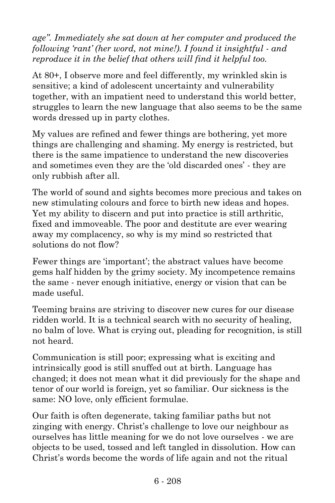*age". Immediately she sat down at her computer and produced the following 'rant' (her word, not mine!). I found it insightful*  $\cdot$  *and reproduce it in the belief that others will find it helpful too.*

At 80+, I observe more and feel differently, my wrinkled skin is sensitive; a kind of adolescent uncertainty and vulnerability together, with an impatient need to understand this world better, struggles to learn the new language that also seems to be the same words dressed up in party clothes.

My values are refined and fewer things are bothering, yet more things are challenging and shaming. My energy is restricted, but there is the same impatience to understand the new discoveries and sometimes even they are the 'old discarded ones' - they are only rubbish after all.

The world of sound and sights becomes more precious and takes on new stimulating colours and force to birth new ideas and hopes. Yet my ability to discern and put into practice is still arthritic, fixed and immoveable. The poor and destitute are ever wearing away my complacency, so why is my mind so restricted that solutions do not flow?

Fewer things are 'important'; the abstract values have become gems half hidden by the grimy society. My incompetence remains the same - never enough initiative, energy or vision that can be made useful.

Teeming brains are striving to discover new cures for our disease ridden world. It is a technical search with no security of healing, no balm of love. What is crying out, pleading for recognition, is still not heard.

Communication is still poor; expressing what is exciting and intrinsically good is still snuffed out at birth. Language has changed; it does not mean what it did previously for the shape and tenor of our world is foreign, yet so familiar. Our sickness is the same: NO love, only efficient formulae.

Our faith is often degenerate, taking familiar paths but not zinging with energy. Christ's challenge to love our neighbour as ourselves has little meaning for we do not love ourselves - we are objects to be used, tossed and left tangled in dissolution. How can Christ's words become the words of life again and not the ritual